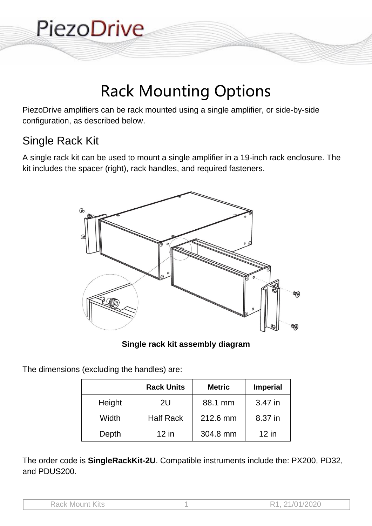

## Rack Mounting Options

PiezoDrive amplifiers can be rack mounted using a single amplifier, or side-by-side configuration, as described below.

## Single Rack Kit

A single rack kit can be used to mount a single amplifier in a 19-inch rack enclosure. The kit includes the spacer (right), rack handles, and required fasteners.



**Single rack kit assembly diagram**

The dimensions (excluding the handles) are:

|        | <b>Rack Units</b> | <b>Metric</b> | <b>Imperial</b> |
|--------|-------------------|---------------|-----------------|
| Height | 2U                | 88.1 mm       | 3.47 in         |
| Width  | <b>Half Rack</b>  | 212.6 mm      | 8.37 in         |
| Depth  | $12$ in           | 304.8 mm      | $12$ in         |

The order code is **SingleRackKit-2U**. Compatible instruments include the: PX200, PD32, and PDUS200.

| <b>Rack Mount Kits</b> | R1, 21/01/2020 |
|------------------------|----------------|